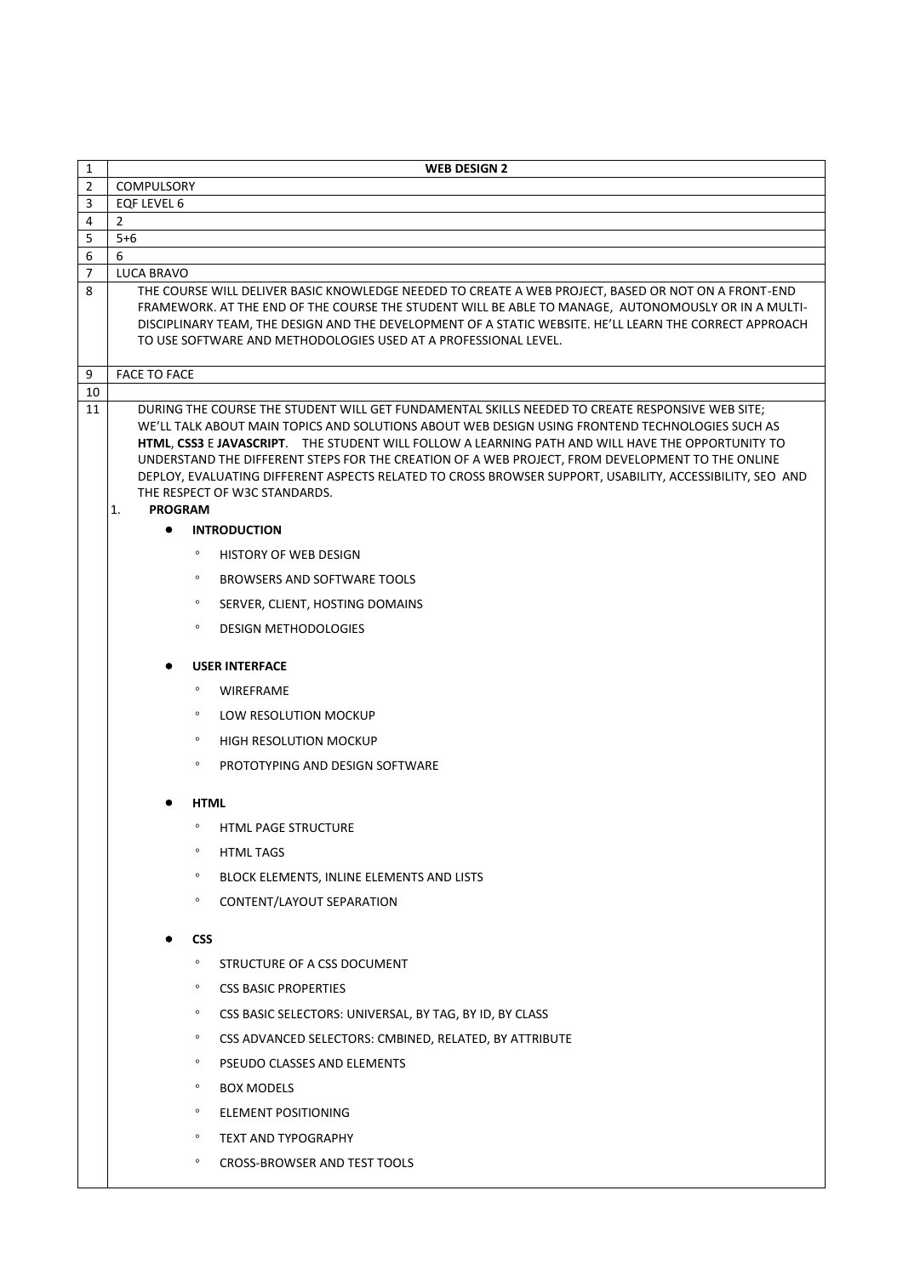| 1              | <b>WEB DESIGN 2</b>                                                                                                                                                                                                                                                                                                                                                                                                                                                                                                                                                              |
|----------------|----------------------------------------------------------------------------------------------------------------------------------------------------------------------------------------------------------------------------------------------------------------------------------------------------------------------------------------------------------------------------------------------------------------------------------------------------------------------------------------------------------------------------------------------------------------------------------|
| $\mathbf{2}$   | <b>COMPULSORY</b>                                                                                                                                                                                                                                                                                                                                                                                                                                                                                                                                                                |
| 3              | <b>EQF LEVEL 6</b>                                                                                                                                                                                                                                                                                                                                                                                                                                                                                                                                                               |
| 4<br>5         | $\overline{2}$<br>$5 + 6$                                                                                                                                                                                                                                                                                                                                                                                                                                                                                                                                                        |
| 6              | 6                                                                                                                                                                                                                                                                                                                                                                                                                                                                                                                                                                                |
| $\overline{7}$ | LUCA BRAVO                                                                                                                                                                                                                                                                                                                                                                                                                                                                                                                                                                       |
| 8              | THE COURSE WILL DELIVER BASIC KNOWLEDGE NEEDED TO CREATE A WEB PROJECT, BASED OR NOT ON A FRONT-END<br>FRAMEWORK. AT THE END OF THE COURSE THE STUDENT WILL BE ABLE TO MANAGE, AUTONOMOUSLY OR IN A MULTI-<br>DISCIPLINARY TEAM, THE DESIGN AND THE DEVELOPMENT OF A STATIC WEBSITE. HE'LL LEARN THE CORRECT APPROACH<br>TO USE SOFTWARE AND METHODOLOGIES USED AT A PROFESSIONAL LEVEL.                                                                                                                                                                                         |
| 9              | <b>FACE TO FACE</b>                                                                                                                                                                                                                                                                                                                                                                                                                                                                                                                                                              |
| 10<br>11       | DURING THE COURSE THE STUDENT WILL GET FUNDAMENTAL SKILLS NEEDED TO CREATE RESPONSIVE WEB SITE;<br>WE'LL TALK ABOUT MAIN TOPICS AND SOLUTIONS ABOUT WEB DESIGN USING FRONTEND TECHNOLOGIES SUCH AS<br>HTML, CSS3 E JAVASCRIPT. THE STUDENT WILL FOLLOW A LEARNING PATH AND WILL HAVE THE OPPORTUNITY TO<br>UNDERSTAND THE DIFFERENT STEPS FOR THE CREATION OF A WEB PROJECT, FROM DEVELOPMENT TO THE ONLINE<br>DEPLOY, EVALUATING DIFFERENT ASPECTS RELATED TO CROSS BROWSER SUPPORT, USABILITY, ACCESSIBILITY, SEO AND<br>THE RESPECT OF W3C STANDARDS.<br><b>PROGRAM</b><br>1. |
|                | <b>INTRODUCTION</b>                                                                                                                                                                                                                                                                                                                                                                                                                                                                                                                                                              |
|                | $\circ$<br><b>HISTORY OF WEB DESIGN</b>                                                                                                                                                                                                                                                                                                                                                                                                                                                                                                                                          |
|                | $\circ$<br>BROWSERS AND SOFTWARE TOOLS                                                                                                                                                                                                                                                                                                                                                                                                                                                                                                                                           |
|                | $\circ$<br>SERVER, CLIENT, HOSTING DOMAINS                                                                                                                                                                                                                                                                                                                                                                                                                                                                                                                                       |
|                | $\circ$<br><b>DESIGN METHODOLOGIES</b>                                                                                                                                                                                                                                                                                                                                                                                                                                                                                                                                           |
|                | <b>USER INTERFACE</b>                                                                                                                                                                                                                                                                                                                                                                                                                                                                                                                                                            |
|                | $\circ$<br><b>WIREFRAME</b>                                                                                                                                                                                                                                                                                                                                                                                                                                                                                                                                                      |
|                | $\circ$<br>LOW RESOLUTION MOCKUP                                                                                                                                                                                                                                                                                                                                                                                                                                                                                                                                                 |
|                | $\circ$<br>HIGH RESOLUTION MOCKUP                                                                                                                                                                                                                                                                                                                                                                                                                                                                                                                                                |
|                | $\circ$<br>PROTOTYPING AND DESIGN SOFTWARE                                                                                                                                                                                                                                                                                                                                                                                                                                                                                                                                       |
|                | <b>HTML</b>                                                                                                                                                                                                                                                                                                                                                                                                                                                                                                                                                                      |
|                | $\circ$<br><b>HTML PAGE STRUCTURE</b>                                                                                                                                                                                                                                                                                                                                                                                                                                                                                                                                            |
|                | $\circ$<br>HTML TAGS                                                                                                                                                                                                                                                                                                                                                                                                                                                                                                                                                             |
|                | $\circ$<br>BLOCK ELEMENTS, INLINE ELEMENTS AND LISTS                                                                                                                                                                                                                                                                                                                                                                                                                                                                                                                             |
|                | $\circ$<br>CONTENT/LAYOUT SEPARATION                                                                                                                                                                                                                                                                                                                                                                                                                                                                                                                                             |
|                | <b>CSS</b>                                                                                                                                                                                                                                                                                                                                                                                                                                                                                                                                                                       |
|                | STRUCTURE OF A CSS DOCUMENT<br>$\circ$                                                                                                                                                                                                                                                                                                                                                                                                                                                                                                                                           |
|                | $\circ$<br><b>CSS BASIC PROPERTIES</b>                                                                                                                                                                                                                                                                                                                                                                                                                                                                                                                                           |
|                | $\circ$<br>CSS BASIC SELECTORS: UNIVERSAL, BY TAG, BY ID, BY CLASS                                                                                                                                                                                                                                                                                                                                                                                                                                                                                                               |
|                | $\circ$<br>CSS ADVANCED SELECTORS: CMBINED, RELATED, BY ATTRIBUTE                                                                                                                                                                                                                                                                                                                                                                                                                                                                                                                |
|                | $\circ$<br>PSEUDO CLASSES AND ELEMENTS                                                                                                                                                                                                                                                                                                                                                                                                                                                                                                                                           |
|                | $\circ$<br><b>BOX MODELS</b>                                                                                                                                                                                                                                                                                                                                                                                                                                                                                                                                                     |
|                | $\circ$<br>ELEMENT POSITIONING                                                                                                                                                                                                                                                                                                                                                                                                                                                                                                                                                   |
|                | $\circ$<br>TEXT AND TYPOGRAPHY                                                                                                                                                                                                                                                                                                                                                                                                                                                                                                                                                   |
|                | CROSS-BROWSER AND TEST TOOLS<br>$\circ$                                                                                                                                                                                                                                                                                                                                                                                                                                                                                                                                          |
|                |                                                                                                                                                                                                                                                                                                                                                                                                                                                                                                                                                                                  |